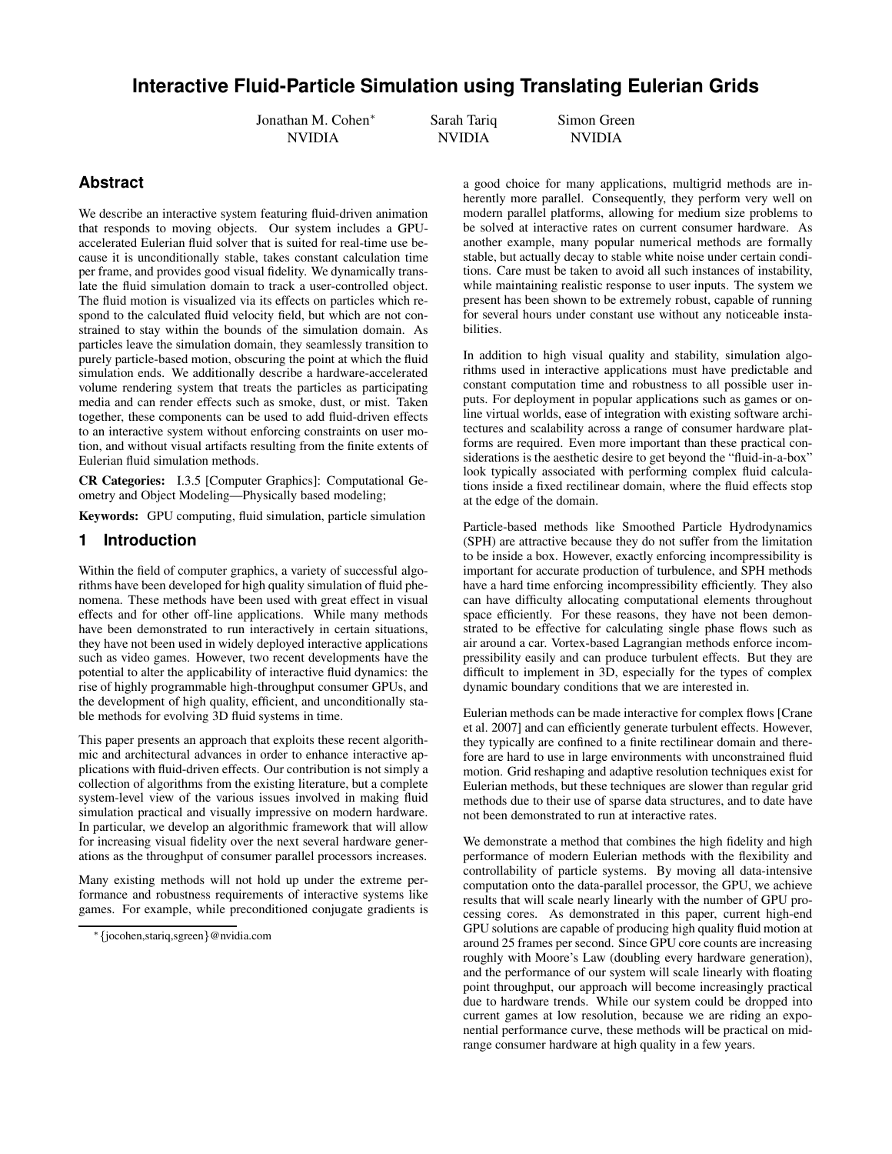# **Interactive Fluid-Particle Simulation using Translating Eulerian Grids**

Jonathan M. Cohen<sup>∗</sup> NVIDIA

Sarah Tariq NVIDIA

Simon Green NVIDIA

# **Abstract**

We describe an interactive system featuring fluid-driven animation that responds to moving objects. Our system includes a GPUaccelerated Eulerian fluid solver that is suited for real-time use because it is unconditionally stable, takes constant calculation time per frame, and provides good visual fidelity. We dynamically translate the fluid simulation domain to track a user-controlled object. The fluid motion is visualized via its effects on particles which respond to the calculated fluid velocity field, but which are not constrained to stay within the bounds of the simulation domain. As particles leave the simulation domain, they seamlessly transition to purely particle-based motion, obscuring the point at which the fluid simulation ends. We additionally describe a hardware-accelerated volume rendering system that treats the particles as participating media and can render effects such as smoke, dust, or mist. Taken together, these components can be used to add fluid-driven effects to an interactive system without enforcing constraints on user motion, and without visual artifacts resulting from the finite extents of Eulerian fluid simulation methods.

**CR Categories:** I.3.5 [Computer Graphics]: Computational Geometry and Object Modeling—Physically based modeling;

**Keywords:** GPU computing, fluid simulation, particle simulation

### **1 Introduction**

Within the field of computer graphics, a variety of successful algorithms have been developed for high quality simulation of fluid phenomena. These methods have been used with great effect in visual effects and for other off-line applications. While many methods have been demonstrated to run interactively in certain situations, they have not been used in widely deployed interactive applications such as video games. However, two recent developments have the potential to alter the applicability of interactive fluid dynamics: the rise of highly programmable high-throughput consumer GPUs, and the development of high quality, efficient, and unconditionally stable methods for evolving 3D fluid systems in time.

This paper presents an approach that exploits these recent algorithmic and architectural advances in order to enhance interactive applications with fluid-driven effects. Our contribution is not simply a collection of algorithms from the existing literature, but a complete system-level view of the various issues involved in making fluid simulation practical and visually impressive on modern hardware. In particular, we develop an algorithmic framework that will allow for increasing visual fidelity over the next several hardware generations as the throughput of consumer parallel processors increases.

Many existing methods will not hold up under the extreme performance and robustness requirements of interactive systems like games. For example, while preconditioned conjugate gradients is

a good choice for many applications, multigrid methods are inherently more parallel. Consequently, they perform very well on modern parallel platforms, allowing for medium size problems to be solved at interactive rates on current consumer hardware. As another example, many popular numerical methods are formally stable, but actually decay to stable white noise under certain conditions. Care must be taken to avoid all such instances of instability, while maintaining realistic response to user inputs. The system we present has been shown to be extremely robust, capable of running for several hours under constant use without any noticeable instabilities.

In addition to high visual quality and stability, simulation algorithms used in interactive applications must have predictable and constant computation time and robustness to all possible user inputs. For deployment in popular applications such as games or online virtual worlds, ease of integration with existing software architectures and scalability across a range of consumer hardware platforms are required. Even more important than these practical considerations is the aesthetic desire to get beyond the "fluid-in-a-box" look typically associated with performing complex fluid calculations inside a fixed rectilinear domain, where the fluid effects stop at the edge of the domain.

Particle-based methods like Smoothed Particle Hydrodynamics (SPH) are attractive because they do not suffer from the limitation to be inside a box. However, exactly enforcing incompressibility is important for accurate production of turbulence, and SPH methods have a hard time enforcing incompressibility efficiently. They also can have difficulty allocating computational elements throughout space efficiently. For these reasons, they have not been demonstrated to be effective for calculating single phase flows such as air around a car. Vortex-based Lagrangian methods enforce incompressibility easily and can produce turbulent effects. But they are difficult to implement in 3D, especially for the types of complex dynamic boundary conditions that we are interested in.

Eulerian methods can be made interactive for complex flows [Crane et al. 2007] and can efficiently generate turbulent effects. However, they typically are confined to a finite rectilinear domain and therefore are hard to use in large environments with unconstrained fluid motion. Grid reshaping and adaptive resolution techniques exist for Eulerian methods, but these techniques are slower than regular grid methods due to their use of sparse data structures, and to date have not been demonstrated to run at interactive rates.

We demonstrate a method that combines the high fidelity and high performance of modern Eulerian methods with the flexibility and controllability of particle systems. By moving all data-intensive computation onto the data-parallel processor, the GPU, we achieve results that will scale nearly linearly with the number of GPU processing cores. As demonstrated in this paper, current high-end GPU solutions are capable of producing high quality fluid motion at around 25 frames per second. Since GPU core counts are increasing roughly with Moore's Law (doubling every hardware generation), and the performance of our system will scale linearly with floating point throughput, our approach will become increasingly practical due to hardware trends. While our system could be dropped into current games at low resolution, because we are riding an exponential performance curve, these methods will be practical on midrange consumer hardware at high quality in a few years.

<sup>∗</sup>{jocohen,stariq,sgreen}@nvidia.com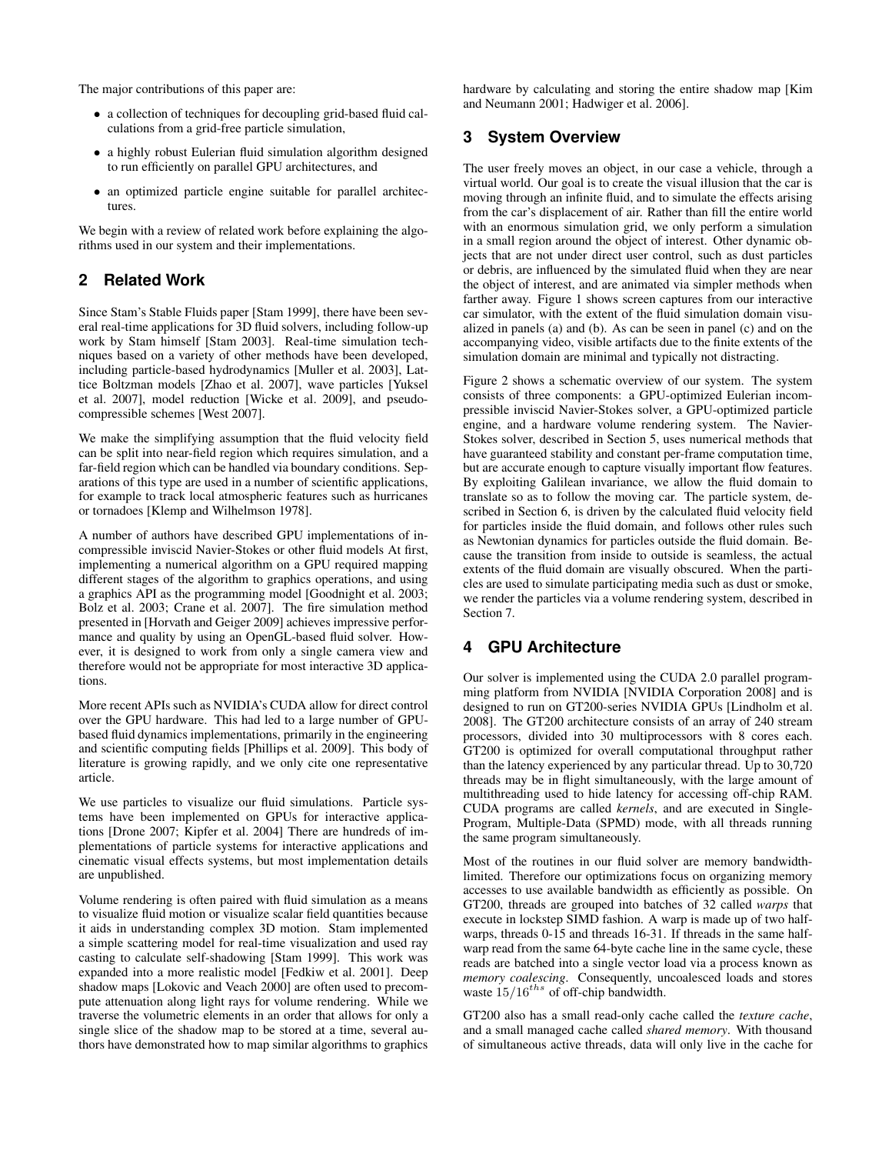The major contributions of this paper are:

- a collection of techniques for decoupling grid-based fluid calculations from a grid-free particle simulation,
- a highly robust Eulerian fluid simulation algorithm designed to run efficiently on parallel GPU architectures, and
- an optimized particle engine suitable for parallel architectures.

We begin with a review of related work before explaining the algorithms used in our system and their implementations.

### **2 Related Work**

Since Stam's Stable Fluids paper [Stam 1999], there have been several real-time applications for 3D fluid solvers, including follow-up work by Stam himself [Stam 2003]. Real-time simulation techniques based on a variety of other methods have been developed, including particle-based hydrodynamics [Muller et al. 2003], Lattice Boltzman models [Zhao et al. 2007], wave particles [Yuksel et al. 2007], model reduction [Wicke et al. 2009], and pseudocompressible schemes [West 2007].

We make the simplifying assumption that the fluid velocity field can be split into near-field region which requires simulation, and a far-field region which can be handled via boundary conditions. Separations of this type are used in a number of scientific applications, for example to track local atmospheric features such as hurricanes or tornadoes [Klemp and Wilhelmson 1978].

A number of authors have described GPU implementations of incompressible inviscid Navier-Stokes or other fluid models At first, implementing a numerical algorithm on a GPU required mapping different stages of the algorithm to graphics operations, and using a graphics API as the programming model [Goodnight et al. 2003; Bolz et al. 2003; Crane et al. 2007]. The fire simulation method presented in [Horvath and Geiger 2009] achieves impressive performance and quality by using an OpenGL-based fluid solver. However, it is designed to work from only a single camera view and therefore would not be appropriate for most interactive 3D applications.

More recent APIs such as NVIDIA's CUDA allow for direct control over the GPU hardware. This had led to a large number of GPUbased fluid dynamics implementations, primarily in the engineering and scientific computing fields [Phillips et al. 2009]. This body of literature is growing rapidly, and we only cite one representative article.

We use particles to visualize our fluid simulations. Particle systems have been implemented on GPUs for interactive applications [Drone 2007; Kipfer et al. 2004] There are hundreds of implementations of particle systems for interactive applications and cinematic visual effects systems, but most implementation details are unpublished.

Volume rendering is often paired with fluid simulation as a means to visualize fluid motion or visualize scalar field quantities because it aids in understanding complex 3D motion. Stam implemented a simple scattering model for real-time visualization and used ray casting to calculate self-shadowing [Stam 1999]. This work was expanded into a more realistic model [Fedkiw et al. 2001]. Deep shadow maps [Lokovic and Veach 2000] are often used to precompute attenuation along light rays for volume rendering. While we traverse the volumetric elements in an order that allows for only a single slice of the shadow map to be stored at a time, several authors have demonstrated how to map similar algorithms to graphics hardware by calculating and storing the entire shadow map [Kim and Neumann 2001; Hadwiger et al. 2006].

# **3 System Overview**

The user freely moves an object, in our case a vehicle, through a virtual world. Our goal is to create the visual illusion that the car is moving through an infinite fluid, and to simulate the effects arising from the car's displacement of air. Rather than fill the entire world with an enormous simulation grid, we only perform a simulation in a small region around the object of interest. Other dynamic objects that are not under direct user control, such as dust particles or debris, are influenced by the simulated fluid when they are near the object of interest, and are animated via simpler methods when farther away. Figure 1 shows screen captures from our interactive car simulator, with the extent of the fluid simulation domain visualized in panels (a) and (b). As can be seen in panel (c) and on the accompanying video, visible artifacts due to the finite extents of the simulation domain are minimal and typically not distracting.

Figure 2 shows a schematic overview of our system. The system consists of three components: a GPU-optimized Eulerian incompressible inviscid Navier-Stokes solver, a GPU-optimized particle engine, and a hardware volume rendering system. The Navier-Stokes solver, described in Section 5, uses numerical methods that have guaranteed stability and constant per-frame computation time, but are accurate enough to capture visually important flow features. By exploiting Galilean invariance, we allow the fluid domain to translate so as to follow the moving car. The particle system, described in Section 6, is driven by the calculated fluid velocity field for particles inside the fluid domain, and follows other rules such as Newtonian dynamics for particles outside the fluid domain. Because the transition from inside to outside is seamless, the actual extents of the fluid domain are visually obscured. When the particles are used to simulate participating media such as dust or smoke, we render the particles via a volume rendering system, described in Section 7.

# **4 GPU Architecture**

Our solver is implemented using the CUDA 2.0 parallel programming platform from NVIDIA [NVIDIA Corporation 2008] and is designed to run on GT200-series NVIDIA GPUs [Lindholm et al. 2008]. The GT200 architecture consists of an array of 240 stream processors, divided into 30 multiprocessors with 8 cores each. GT200 is optimized for overall computational throughput rather than the latency experienced by any particular thread. Up to 30,720 threads may be in flight simultaneously, with the large amount of multithreading used to hide latency for accessing off-chip RAM. CUDA programs are called *kernels*, and are executed in Single-Program, Multiple-Data (SPMD) mode, with all threads running the same program simultaneously.

Most of the routines in our fluid solver are memory bandwidthlimited. Therefore our optimizations focus on organizing memory accesses to use available bandwidth as efficiently as possible. On GT200, threads are grouped into batches of 32 called *warps* that execute in lockstep SIMD fashion. A warp is made up of two halfwarps, threads 0-15 and threads 16-31. If threads in the same halfwarp read from the same 64-byte cache line in the same cycle, these reads are batched into a single vector load via a process known as *memory coalescing*. Consequently, uncoalesced loads and stores waste  $15/16^{ths}$  of off-chip bandwidth.

GT200 also has a small read-only cache called the *texture cache*, and a small managed cache called *shared memory*. With thousand of simultaneous active threads, data will only live in the cache for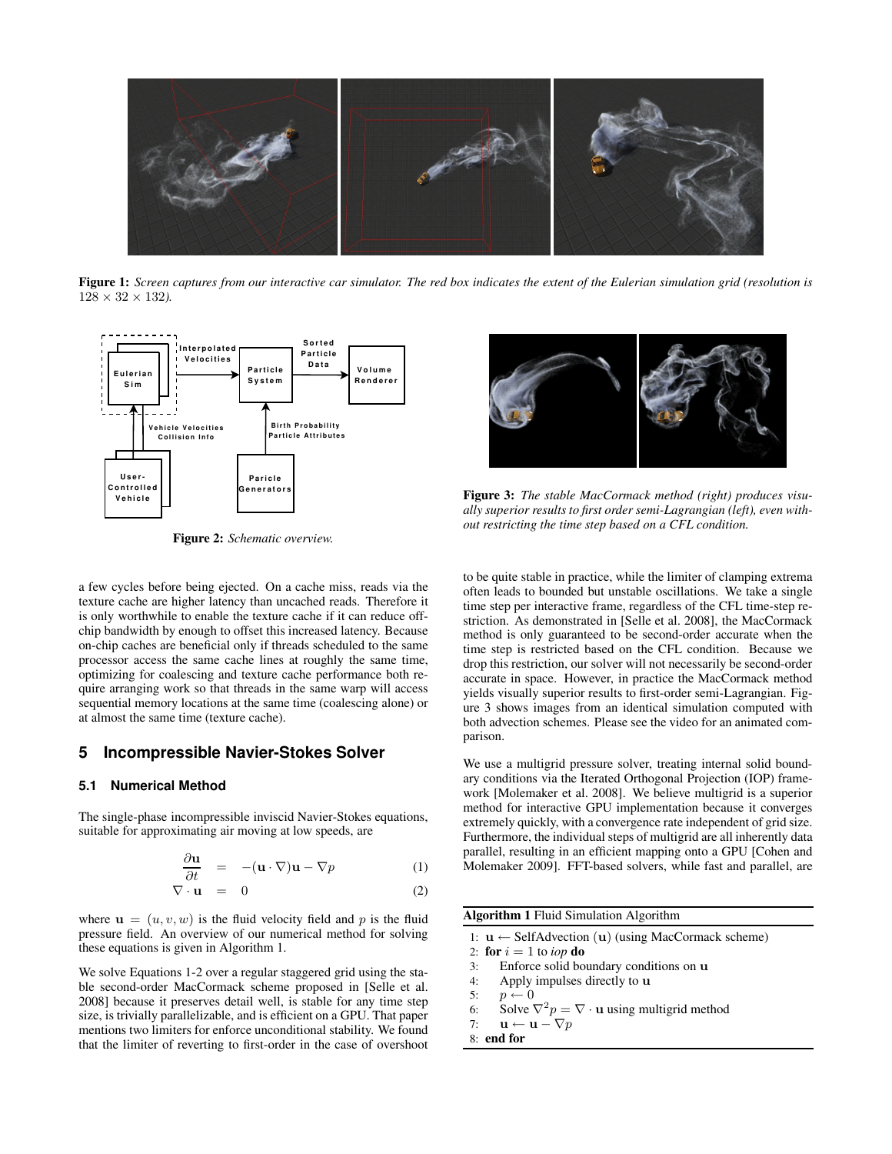

**Figure 1:** *Screen captures from our interactive car simulator. The red box indicates the extent of the Eulerian simulation grid (resolution is*  $128 \times 32 \times 132$ ).



**Figure 2:** *Schematic overview.*

a few cycles before being ejected. On a cache miss, reads via the texture cache are higher latency than uncached reads. Therefore it is only worthwhile to enable the texture cache if it can reduce offchip bandwidth by enough to offset this increased latency. Because on-chip caches are beneficial only if threads scheduled to the same processor access the same cache lines at roughly the same time, optimizing for coalescing and texture cache performance both require arranging work so that threads in the same warp will access sequential memory locations at the same time (coalescing alone) or at almost the same time (texture cache).

### **5 Incompressible Navier-Stokes Solver**

#### **5.1 Numerical Method**

The single-phase incompressible inviscid Navier-Stokes equations, suitable for approximating air moving at low speeds, are

$$
\frac{\partial \mathbf{u}}{\partial t} = -(\mathbf{u} \cdot \nabla)\mathbf{u} - \nabla p \tag{1}
$$

$$
\nabla \cdot \mathbf{u} = 0 \tag{2}
$$

where  $\mathbf{u} = (u, v, w)$  is the fluid velocity field and p is the fluid pressure field. An overview of our numerical method for solving these equations is given in Algorithm 1.

We solve Equations 1-2 over a regular staggered grid using the stable second-order MacCormack scheme proposed in [Selle et al. 2008] because it preserves detail well, is stable for any time step size, is trivially parallelizable, and is efficient on a GPU. That paper mentions two limiters for enforce unconditional stability. We found that the limiter of reverting to first-order in the case of overshoot



**Figure 3:** *The stable MacCormack method (right) produces visually superior results to first order semi-Lagrangian (left), even without restricting the time step based on a CFL condition.*

to be quite stable in practice, while the limiter of clamping extrema often leads to bounded but unstable oscillations. We take a single time step per interactive frame, regardless of the CFL time-step restriction. As demonstrated in [Selle et al. 2008], the MacCormack method is only guaranteed to be second-order accurate when the time step is restricted based on the CFL condition. Because we drop this restriction, our solver will not necessarily be second-order accurate in space. However, in practice the MacCormack method yields visually superior results to first-order semi-Lagrangian. Figure 3 shows images from an identical simulation computed with both advection schemes. Please see the video for an animated comparison.

We use a multigrid pressure solver, treating internal solid boundary conditions via the Iterated Orthogonal Projection (IOP) framework [Molemaker et al. 2008]. We believe multigrid is a superior method for interactive GPU implementation because it converges extremely quickly, with a convergence rate independent of grid size. Furthermore, the individual steps of multigrid are all inherently data parallel, resulting in an efficient mapping onto a GPU [Cohen and Molemaker 2009]. FFT-based solvers, while fast and parallel, are

**Algorithm 1** Fluid Simulation Algorithm

1:  $\mathbf{u}$  ← SelfAdvection (**u**) (using MacCormack scheme)

2: **for**  $i = 1$  to *iop* **do** 

3: Enforce solid boundary conditions on u

- 4: Apply impulses directly to u
- 5:  $p \leftarrow 0$

6: Solve  $\nabla^2 p = \nabla \cdot \mathbf{u}$  using multigrid method

7:  $\mathbf{u} \leftarrow \mathbf{u} - \nabla p$ 

8: **end for**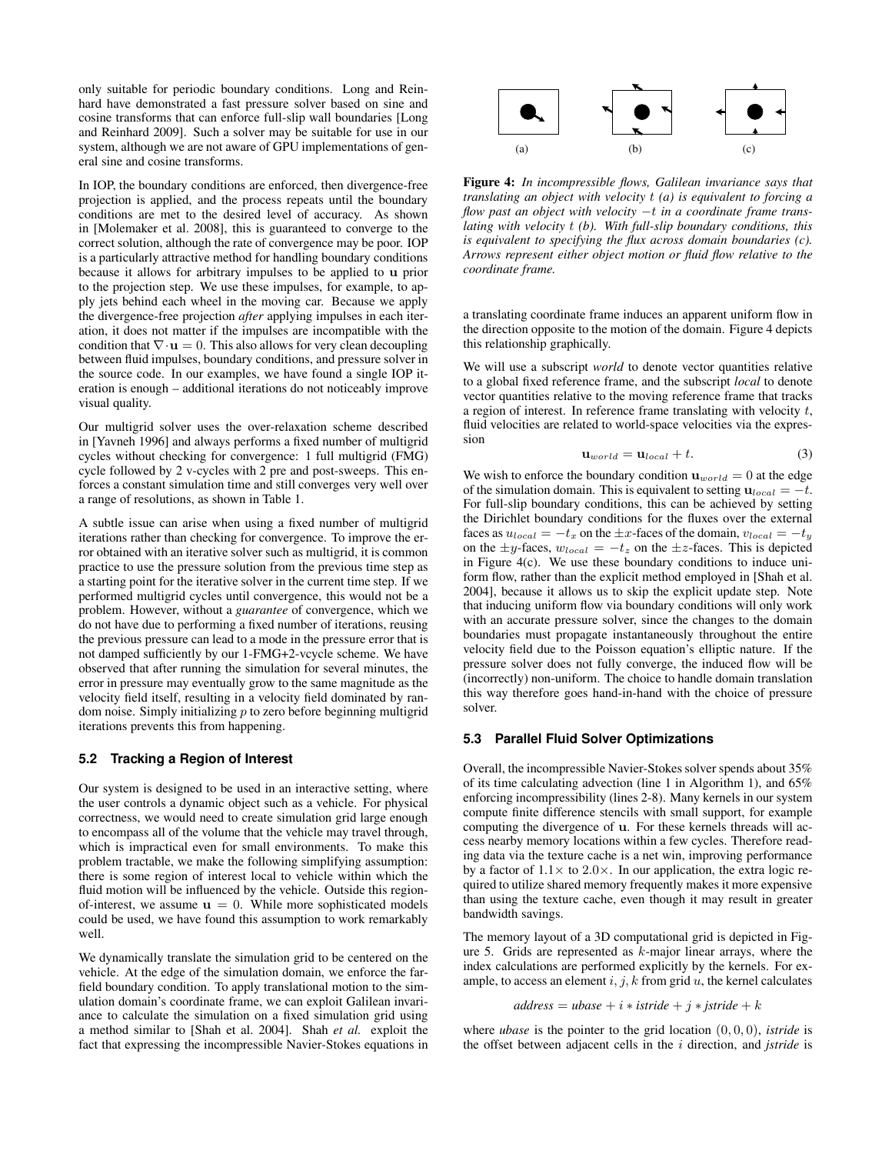only suitable for periodic boundary conditions. Long and Reinhard have demonstrated a fast pressure solver based on sine and cosine transforms that can enforce full-slip wall boundaries [Long and Reinhard 2009]. Such a solver may be suitable for use in our system, although we are not aware of GPU implementations of general sine and cosine transforms.

In IOP, the boundary conditions are enforced, then divergence-free projection is applied, and the process repeats until the boundary conditions are met to the desired level of accuracy. As shown in [Molemaker et al. 2008], this is guaranteed to converge to the correct solution, although the rate of convergence may be poor. IOP is a particularly attractive method for handling boundary conditions because it allows for arbitrary impulses to be applied to u prior to the projection step. We use these impulses, for example, to apply jets behind each wheel in the moving car. Because we apply the divergence-free projection *after* applying impulses in each iteration, it does not matter if the impulses are incompatible with the condition that  $\nabla \cdot \mathbf{u} = 0$ . This also allows for very clean decoupling between fluid impulses, boundary conditions, and pressure solver in the source code. In our examples, we have found a single IOP iteration is enough – additional iterations do not noticeably improve visual quality.

Our multigrid solver uses the over-relaxation scheme described in [Yavneh 1996] and always performs a fixed number of multigrid cycles without checking for convergence: 1 full multigrid (FMG) cycle followed by 2 v-cycles with 2 pre and post-sweeps. This enforces a constant simulation time and still converges very well over a range of resolutions, as shown in Table 1.

A subtle issue can arise when using a fixed number of multigrid iterations rather than checking for convergence. To improve the error obtained with an iterative solver such as multigrid, it is common practice to use the pressure solution from the previous time step as a starting point for the iterative solver in the current time step. If we performed multigrid cycles until convergence, this would not be a problem. However, without a *guarantee* of convergence, which we do not have due to performing a fixed number of iterations, reusing the previous pressure can lead to a mode in the pressure error that is not damped sufficiently by our 1-FMG+2-vcycle scheme. We have observed that after running the simulation for several minutes, the error in pressure may eventually grow to the same magnitude as the velocity field itself, resulting in a velocity field dominated by random noise. Simply initializing  $p$  to zero before beginning multigrid iterations prevents this from happening.

#### **5.2 Tracking a Region of Interest**

Our system is designed to be used in an interactive setting, where the user controls a dynamic object such as a vehicle. For physical correctness, we would need to create simulation grid large enough to encompass all of the volume that the vehicle may travel through, which is impractical even for small environments. To make this problem tractable, we make the following simplifying assumption: there is some region of interest local to vehicle within which the fluid motion will be influenced by the vehicle. Outside this regionof-interest, we assume  $\mathbf{u} = 0$ . While more sophisticated models could be used, we have found this assumption to work remarkably well.

We dynamically translate the simulation grid to be centered on the vehicle. At the edge of the simulation domain, we enforce the farfield boundary condition. To apply translational motion to the simulation domain's coordinate frame, we can exploit Galilean invariance to calculate the simulation on a fixed simulation grid using a method similar to [Shah et al. 2004]. Shah *et al.* exploit the fact that expressing the incompressible Navier-Stokes equations in



**Figure 4:** *In incompressible flows, Galilean invariance says that translating an object with velocity* t *(a) is equivalent to forcing a flow past an object with velocity* −t *in a coordinate frame translating with velocity* t *(b). With full-slip boundary conditions, this is equivalent to specifying the flux across domain boundaries (c). Arrows represent either object motion or fluid flow relative to the coordinate frame.*

a translating coordinate frame induces an apparent uniform flow in the direction opposite to the motion of the domain. Figure 4 depicts this relationship graphically.

We will use a subscript *world* to denote vector quantities relative to a global fixed reference frame, and the subscript *local* to denote vector quantities relative to the moving reference frame that tracks a region of interest. In reference frame translating with velocity t, fluid velocities are related to world-space velocities via the expression

$$
\mathbf{u}_{world} = \mathbf{u}_{local} + t. \tag{3}
$$

We wish to enforce the boundary condition  $\mathbf{u}_{world} = 0$  at the edge of the simulation domain. This is equivalent to setting  $\mathbf{u}_{local} = -t$ . For full-slip boundary conditions, this can be achieved by setting the Dirichlet boundary conditions for the fluxes over the external faces as  $u_{local} = -t_x$  on the  $\pm x$ -faces of the domain,  $v_{local} = -t_y$ on the  $\pm y$ -faces,  $w_{local} = -t_z$  on the  $\pm z$ -faces. This is depicted in Figure 4(c). We use these boundary conditions to induce uniform flow, rather than the explicit method employed in [Shah et al. 2004], because it allows us to skip the explicit update step. Note that inducing uniform flow via boundary conditions will only work with an accurate pressure solver, since the changes to the domain boundaries must propagate instantaneously throughout the entire velocity field due to the Poisson equation's elliptic nature. If the pressure solver does not fully converge, the induced flow will be (incorrectly) non-uniform. The choice to handle domain translation this way therefore goes hand-in-hand with the choice of pressure solver.

#### **5.3 Parallel Fluid Solver Optimizations**

Overall, the incompressible Navier-Stokes solver spends about 35% of its time calculating advection (line 1 in Algorithm 1), and 65% enforcing incompressibility (lines 2-8). Many kernels in our system compute finite difference stencils with small support, for example computing the divergence of u. For these kernels threads will access nearby memory locations within a few cycles. Therefore reading data via the texture cache is a net win, improving performance by a factor of  $1.1 \times$  to  $2.0 \times$ . In our application, the extra logic required to utilize shared memory frequently makes it more expensive than using the texture cache, even though it may result in greater bandwidth savings.

The memory layout of a 3D computational grid is depicted in Figure 5. Grids are represented as  $k$ -major linear arrays, where the index calculations are performed explicitly by the kernels. For example, to access an element i, j, k from grid u, the kernel calculates

$$
address = \textit{ubase} + i * \textit{istride} + j * \textit{jstride} + k
$$

where *ubase* is the pointer to the grid location (0, 0, 0), *istride* is the offset between adjacent cells in the i direction, and *jstride* is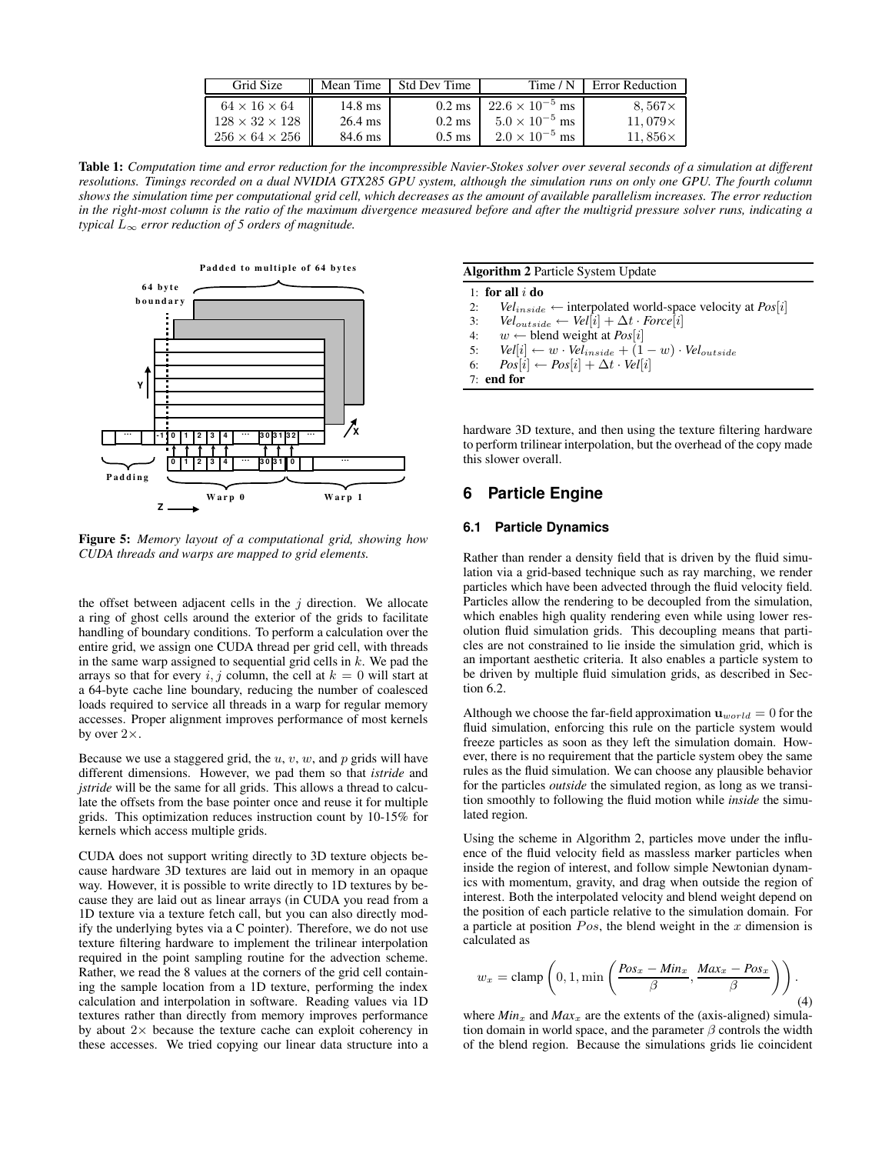| Grid Size                  |                   | Mean Time   Std Dev Time | Time $/N$                | <b>Error Reduction</b> |
|----------------------------|-------------------|--------------------------|--------------------------|------------------------|
| $64 \times 16 \times 64$   | $14.8 \text{ ms}$ | $0.2 \text{ ms}$         | $22.6 \times 10^{-5}$ ms | $8.567\times$          |
| $128 \times 32 \times 128$ | 26.4 ms           | $0.2 \text{ ms}$         | $5.0 \times 10^{-5}$ ms  | $11.079\times$         |
| $256 \times 64 \times 256$ | 84.6 ms           | $0.5$ ms                 | $2.0 \times 10^{-5}$ ms  | $11.856\times$         |

**Table 1:** *Computation time and error reduction for the incompressible Navier-Stokes solver over several seconds of a simulation at different resolutions. Timings recorded on a dual NVIDIA GTX285 GPU system, although the simulation runs on only one GPU. The fourth column shows the simulation time per computational grid cell, which decreases as the amount of available parallelism increases. The error reduction in the right-most column is the ratio of the maximum divergence measured before and after the multigrid pressure solver runs, indicating a typical* L<sup>∞</sup> *error reduction of 5 orders of magnitude.*



**Figure 5:** *Memory layout of a computational grid, showing how CUDA threads and warps are mapped to grid elements.*

the offset between adjacent cells in the  $j$  direction. We allocate a ring of ghost cells around the exterior of the grids to facilitate handling of boundary conditions. To perform a calculation over the entire grid, we assign one CUDA thread per grid cell, with threads in the same warp assigned to sequential grid cells in  $k$ . We pad the arrays so that for every i, j column, the cell at  $k = 0$  will start at a 64-byte cache line boundary, reducing the number of coalesced loads required to service all threads in a warp for regular memory accesses. Proper alignment improves performance of most kernels by over 2×.

Because we use a staggered grid, the  $u, v, w$ , and  $p$  grids will have different dimensions. However, we pad them so that *istride* and *jstride* will be the same for all grids. This allows a thread to calculate the offsets from the base pointer once and reuse it for multiple grids. This optimization reduces instruction count by 10-15% for kernels which access multiple grids.

CUDA does not support writing directly to 3D texture objects because hardware 3D textures are laid out in memory in an opaque way. However, it is possible to write directly to 1D textures by because they are laid out as linear arrays (in CUDA you read from a 1D texture via a texture fetch call, but you can also directly modify the underlying bytes via a C pointer). Therefore, we do not use texture filtering hardware to implement the trilinear interpolation required in the point sampling routine for the advection scheme. Rather, we read the 8 values at the corners of the grid cell containing the sample location from a 1D texture, performing the index calculation and interpolation in software. Reading values via 1D textures rather than directly from memory improves performance by about  $2\times$  because the texture cache can exploit coherency in these accesses. We tried copying our linear data structure into a

### **Algorithm 2** Particle System Update

1: **for all** i **do** 2: *Vel*inside ← interpolated world-space velocity at *Pos*[i] 3:  $Vel_{outside} \leftarrow Vel[i] + \Delta t \cdot Force[i]$ 4:  $w \leftarrow$  blend weight at *Pos*[*i*]<br>5:  $Vel[i] \leftarrow w \cdot Vel<sub>inside</sub> + (1)$  $[Val[i] \leftarrow w \cdot Vel_{inside} + (1 - w) \cdot Vel_{outside}$ 6:  $Pos[i] \leftarrow Pos[i] + \Delta t \cdot Vel[i]$ 7: **end for**

hardware 3D texture, and then using the texture filtering hardware to perform trilinear interpolation, but the overhead of the copy made this slower overall.

# **6 Particle Engine**

### **6.1 Particle Dynamics**

Rather than render a density field that is driven by the fluid simulation via a grid-based technique such as ray marching, we render particles which have been advected through the fluid velocity field. Particles allow the rendering to be decoupled from the simulation, which enables high quality rendering even while using lower resolution fluid simulation grids. This decoupling means that particles are not constrained to lie inside the simulation grid, which is an important aesthetic criteria. It also enables a particle system to be driven by multiple fluid simulation grids, as described in Section 6.2.

Although we choose the far-field approximation  $\mathbf{u}_{world} = 0$  for the fluid simulation, enforcing this rule on the particle system would freeze particles as soon as they left the simulation domain. However, there is no requirement that the particle system obey the same rules as the fluid simulation. We can choose any plausible behavior for the particles *outside* the simulated region, as long as we transition smoothly to following the fluid motion while *inside* the simulated region.

Using the scheme in Algorithm 2, particles move under the influence of the fluid velocity field as massless marker particles when inside the region of interest, and follow simple Newtonian dynamics with momentum, gravity, and drag when outside the region of interest. Both the interpolated velocity and blend weight depend on the position of each particle relative to the simulation domain. For a particle at position  $Pos$ , the blend weight in the  $x$  dimension is calculated as

$$
w_x = \text{clamp}\left(0, 1, \min\left(\frac{Pos_x - Min_x}{\beta}, \frac{Max_x - Pos_x}{\beta}\right)\right). \tag{4}
$$

where  $Min_x$  and  $Max_x$  are the extents of the (axis-aligned) simulation domain in world space, and the parameter  $\beta$  controls the width of the blend region. Because the simulations grids lie coincident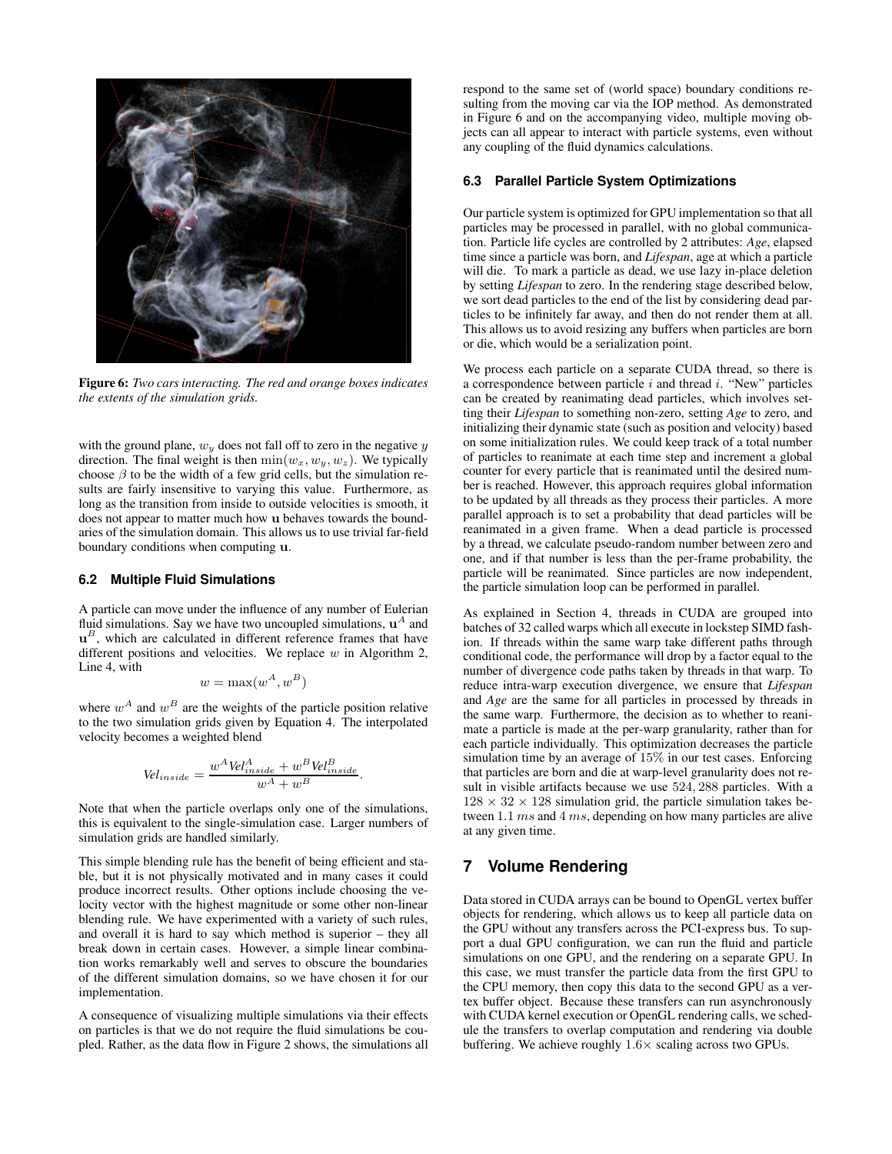

**Figure 6:** *Two cars interacting. The red and orange boxes indicates the extents of the simulation grids.*

with the ground plane,  $w_y$  does not fall off to zero in the negative y direction. The final weight is then  $\min(w_x, w_y, w_z)$ . We typically choose  $\beta$  to be the width of a few grid cells, but the simulation results are fairly insensitive to varying this value. Furthermore, as long as the transition from inside to outside velocities is smooth, it does not appear to matter much how u behaves towards the boundaries of the simulation domain. This allows us to use trivial far-field boundary conditions when computing u.

#### **6.2 Multiple Fluid Simulations**

A particle can move under the influence of any number of Eulerian fluid simulations. Say we have two uncoupled simulations,  $\mathbf{u}^A$  and  $\mathbf{u}^B$ , which are calculated in different reference frames that have different positions and velocities. We replace  $w$  in Algorithm 2, Line 4, with

$$
w = \max(w^A, w^B)
$$

where  $w^A$  and  $w^B$  are the weights of the particle position relative to the two simulation grids given by Equation 4. The interpolated velocity becomes a weighted blend

$$
Vel_{inside} = \frac{w^A Vel_{inside}^A + w^B Vel_{inside}^B}{w^A + w^B}.
$$

Note that when the particle overlaps only one of the simulations, this is equivalent to the single-simulation case. Larger numbers of simulation grids are handled similarly.

This simple blending rule has the benefit of being efficient and stable, but it is not physically motivated and in many cases it could produce incorrect results. Other options include choosing the velocity vector with the highest magnitude or some other non-linear blending rule. We have experimented with a variety of such rules, and overall it is hard to say which method is superior – they all break down in certain cases. However, a simple linear combination works remarkably well and serves to obscure the boundaries of the different simulation domains, so we have chosen it for our implementation.

A consequence of visualizing multiple simulations via their effects on particles is that we do not require the fluid simulations be coupled. Rather, as the data flow in Figure 2 shows, the simulations all

respond to the same set of (world space) boundary conditions resulting from the moving car via the IOP method. As demonstrated in Figure 6 and on the accompanying video, multiple moving objects can all appear to interact with particle systems, even without any coupling of the fluid dynamics calculations.

### **6.3 Parallel Particle System Optimizations**

Our particle system is optimized for GPU implementation so that all particles may be processed in parallel, with no global communication. Particle life cycles are controlled by 2 attributes: *Age*, elapsed time since a particle was born, and *Lifespan*, age at which a particle will die. To mark a particle as dead, we use lazy in-place deletion by setting *Lifespan* to zero. In the rendering stage described below, we sort dead particles to the end of the list by considering dead particles to be infinitely far away, and then do not render them at all. This allows us to avoid resizing any buffers when particles are born or die, which would be a serialization point.

We process each particle on a separate CUDA thread, so there is a correspondence between particle  $i$  and thread  $i$ . "New" particles can be created by reanimating dead particles, which involves setting their *Lifespan* to something non-zero, setting *Age* to zero, and initializing their dynamic state (such as position and velocity) based on some initialization rules. We could keep track of a total number of particles to reanimate at each time step and increment a global counter for every particle that is reanimated until the desired number is reached. However, this approach requires global information to be updated by all threads as they process their particles. A more parallel approach is to set a probability that dead particles will be reanimated in a given frame. When a dead particle is processed by a thread, we calculate pseudo-random number between zero and one, and if that number is less than the per-frame probability, the particle will be reanimated. Since particles are now independent, the particle simulation loop can be performed in parallel.

As explained in Section 4, threads in CUDA are grouped into batches of 32 called warps which all execute in lockstep SIMD fashion. If threads within the same warp take different paths through conditional code, the performance will drop by a factor equal to the number of divergence code paths taken by threads in that warp. To reduce intra-warp execution divergence, we ensure that *Lifespan* and *Age* are the same for all particles in processed by threads in the same warp. Furthermore, the decision as to whether to reanimate a particle is made at the per-warp granularity, rather than for each particle individually. This optimization decreases the particle simulation time by an average of 15% in our test cases. Enforcing that particles are born and die at warp-level granularity does not result in visible artifacts because we use 524, 288 particles. With a  $128 \times 32 \times 128$  simulation grid, the particle simulation takes between 1.1 ms and 4 ms, depending on how many particles are alive at any given time.

### **7 Volume Rendering**

Data stored in CUDA arrays can be bound to OpenGL vertex buffer objects for rendering, which allows us to keep all particle data on the GPU without any transfers across the PCI-express bus. To support a dual GPU configuration, we can run the fluid and particle simulations on one GPU, and the rendering on a separate GPU. In this case, we must transfer the particle data from the first GPU to the CPU memory, then copy this data to the second GPU as a vertex buffer object. Because these transfers can run asynchronously with CUDA kernel execution or OpenGL rendering calls, we schedule the transfers to overlap computation and rendering via double buffering. We achieve roughly  $1.6\times$  scaling across two GPUs.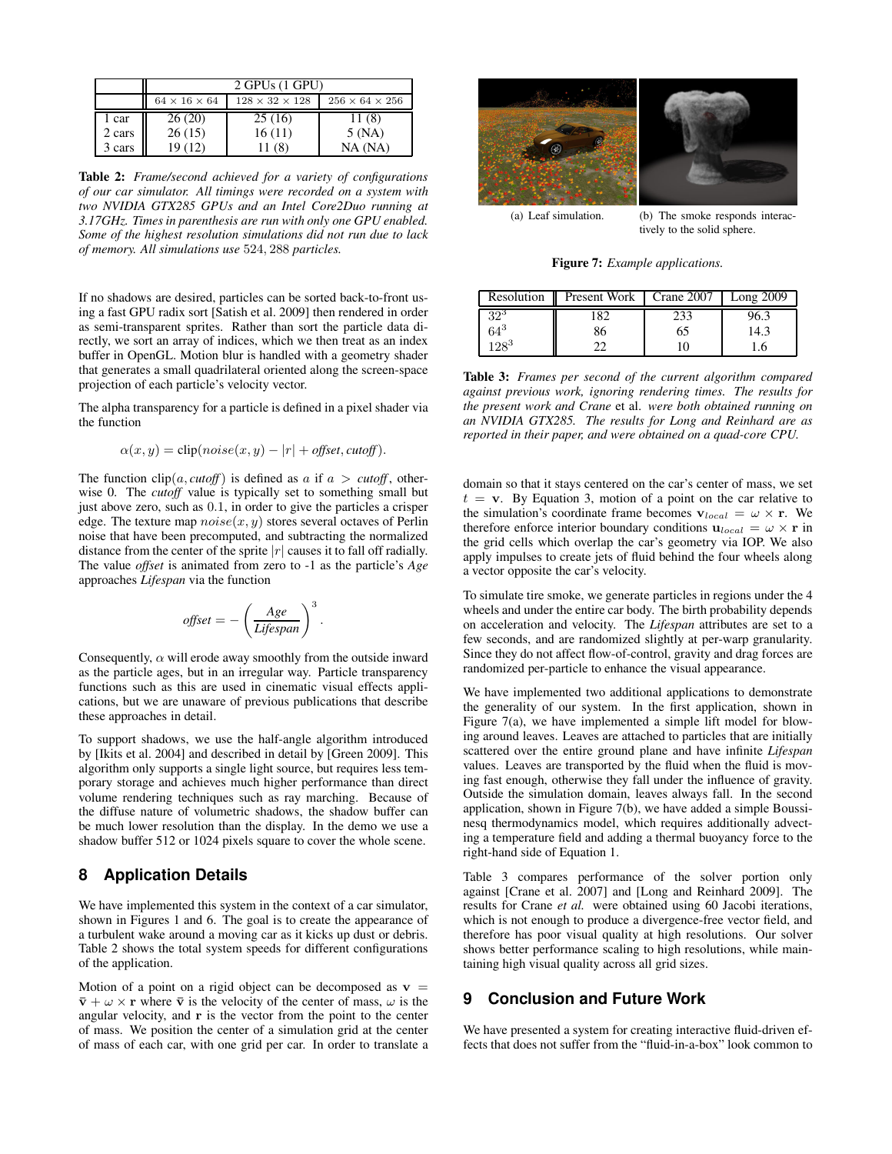|        | $2$ GPUs $(1$ GPU)       |                            |                            |  |
|--------|--------------------------|----------------------------|----------------------------|--|
|        | $64 \times 16 \times 64$ | $128 \times 32 \times 128$ | $256 \times 64 \times 256$ |  |
| 1 car  | 26(20)                   | 25(16)                     | 11(8)                      |  |
| 2 cars | 26(15)                   | 16(11)                     | $5$ (NA)                   |  |
| 3 cars | 19(12)                   | 11(8)                      | $NA$ ( $NA$ )              |  |

**Table 2:** *Frame/second achieved for a variety of configurations of our car simulator. All timings were recorded on a system with two NVIDIA GTX285 GPUs and an Intel Core2Duo running at 3.17GHz. Times in parenthesis are run with only one GPU enabled. Some of the highest resolution simulations did not run due to lack of memory. All simulations use* 524, 288 *particles.*

If no shadows are desired, particles can be sorted back-to-front using a fast GPU radix sort [Satish et al. 2009] then rendered in order as semi-transparent sprites. Rather than sort the particle data directly, we sort an array of indices, which we then treat as an index buffer in OpenGL. Motion blur is handled with a geometry shader that generates a small quadrilateral oriented along the screen-space projection of each particle's velocity vector.

The alpha transparency for a particle is defined in a pixel shader via the function

$$
\alpha(x, y) = \text{clip}(noise(x, y) - |r| + \text{offset}, \text{cutoff}).
$$

The function  $\text{clip}(a, \text{cutoff})$  is defined as a if  $a > \text{cutoff}$ , otherwise 0. The *cutoff* value is typically set to something small but just above zero, such as 0.1, in order to give the particles a crisper edge. The texture map  $noise(x, y)$  stores several octaves of Perlin noise that have been precomputed, and subtracting the normalized distance from the center of the sprite  $|r|$  causes it to fall off radially. The value *offset* is animated from zero to -1 as the particle's *Age* approaches *Lifespan* via the function

$$
offset = -\left(\frac{Age}{Lifespan}\right)^3
$$

.

Consequently,  $\alpha$  will erode away smoothly from the outside inward as the particle ages, but in an irregular way. Particle transparency functions such as this are used in cinematic visual effects applications, but we are unaware of previous publications that describe these approaches in detail.

To support shadows, we use the half-angle algorithm introduced by [Ikits et al. 2004] and described in detail by [Green 2009]. This algorithm only supports a single light source, but requires less temporary storage and achieves much higher performance than direct volume rendering techniques such as ray marching. Because of the diffuse nature of volumetric shadows, the shadow buffer can be much lower resolution than the display. In the demo we use a shadow buffer 512 or 1024 pixels square to cover the whole scene.

### **8 Application Details**

We have implemented this system in the context of a car simulator, shown in Figures 1 and 6. The goal is to create the appearance of a turbulent wake around a moving car as it kicks up dust or debris. Table 2 shows the total system speeds for different configurations of the application.

Motion of a point on a rigid object can be decomposed as  $v =$  $\bar{v} + \omega \times r$  where  $\bar{v}$  is the velocity of the center of mass,  $\omega$  is the angular velocity, and  $\bf{r}$  is the vector from the point to the center of mass. We position the center of a simulation grid at the center of mass of each car, with one grid per car. In order to translate a



(a) Leaf simulation. (b) The smoke responds interactively to the solid sphere.

**Figure 7:** *Example applications.*

| Resolution | Present Work | Crane 2007 | Long $2009$ |
|------------|--------------|------------|-------------|
| ാറാ        |              | 233        |             |
| $64^3$     |              | 65         | 14.3        |
| 1 იიპ      |              |            |             |

**Table 3:** *Frames per second of the current algorithm compared against previous work, ignoring rendering times. The results for the present work and Crane* et al. *were both obtained running on an NVIDIA GTX285. The results for Long and Reinhard are as reported in their paper, and were obtained on a quad-core CPU.*

domain so that it stays centered on the car's center of mass, we set  $t = v$ . By Equation 3, motion of a point on the car relative to the simulation's coordinate frame becomes  $v_{local} = \omega \times r$ . We therefore enforce interior boundary conditions  $\mathbf{u}_{local} = \omega \times \mathbf{r}$  in the grid cells which overlap the car's geometry via IOP. We also apply impulses to create jets of fluid behind the four wheels along a vector opposite the car's velocity.

To simulate tire smoke, we generate particles in regions under the 4 wheels and under the entire car body. The birth probability depends on acceleration and velocity. The *Lifespan* attributes are set to a few seconds, and are randomized slightly at per-warp granularity. Since they do not affect flow-of-control, gravity and drag forces are randomized per-particle to enhance the visual appearance.

We have implemented two additional applications to demonstrate the generality of our system. In the first application, shown in Figure 7(a), we have implemented a simple lift model for blowing around leaves. Leaves are attached to particles that are initially scattered over the entire ground plane and have infinite *Lifespan* values. Leaves are transported by the fluid when the fluid is moving fast enough, otherwise they fall under the influence of gravity. Outside the simulation domain, leaves always fall. In the second application, shown in Figure 7(b), we have added a simple Boussinesq thermodynamics model, which requires additionally advecting a temperature field and adding a thermal buoyancy force to the right-hand side of Equation 1.

Table 3 compares performance of the solver portion only against [Crane et al. 2007] and [Long and Reinhard 2009]. The results for Crane *et al.* were obtained using 60 Jacobi iterations, which is not enough to produce a divergence-free vector field, and therefore has poor visual quality at high resolutions. Our solver shows better performance scaling to high resolutions, while maintaining high visual quality across all grid sizes.

# **9 Conclusion and Future Work**

We have presented a system for creating interactive fluid-driven effects that does not suffer from the "fluid-in-a-box" look common to